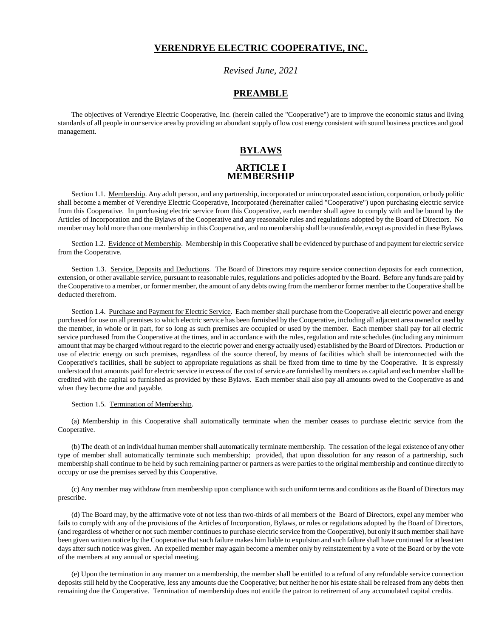### **VERENDRYE ELECTRIC COOPERATIVE, INC.**

### *Revised June, 2021*

### **PREAMBLE**

The objectives of Verendrye Electric Cooperative, Inc. (herein called the "Cooperative") are to improve the economic status and living standards of all people in our service area by providing an abundant supply of low cost energy consistent with sound business practices and good management.

### **BYLAWS**

### **ARTICLE I MEMBERSHIP**

Section 1.1. Membership. Any adult person, and any partnership, incorporated or unincorporated association, corporation, or body politic shall become a member of Verendrye Electric Cooperative, Incorporated (hereinafter called "Cooperative") upon purchasing electric service from this Cooperative. In purchasing electric service from this Cooperative, each member shall agree to comply with and be bound by the Articles of Incorporation and the Bylaws of the Cooperative and any reasonable rules and regulations adopted by the Board of Directors. No member may hold more than one membership in this Cooperative, and no membership shall be transferable, except as provided in these Bylaws.

Section 1.2. Evidence of Membership. Membership in this Cooperative shall be evidenced by purchase of and payment for electric service from the Cooperative.

Section 1.3. Service, Deposits and Deductions. The Board of Directors may require service connection deposits for each connection, extension, or other available service, pursuant to reasonable rules, regulations and policies adopted by the Board. Before any funds are paid by the Cooperative to a member, or former member, the amount of any debts owing from the member or former member to the Cooperative shall be deducted therefrom.

Section 1.4. Purchase and Payment for Electric Service. Each member shall purchase from the Cooperative all electric power and energy purchased for use on all premises to which electric service has been furnished by the Cooperative, including all adjacent area owned or used by the member, in whole or in part, for so long as such premises are occupied or used by the member. Each member shall pay for all electric service purchased from the Cooperative at the times, and in accordance with the rules, regulation and rate schedules (including any minimum amount that may be charged without regard to the electric power and energy actually used) established by the Board of Directors. Production or use of electric energy on such premises, regardless of the source thereof, by means of facilities which shall be interconnected with the Cooperative's facilities, shall be subject to appropriate regulations as shall be fixed from time to time by the Cooperative. It is expressly understood that amounts paid for electric service in excess of the cost of service are furnished by members as capital and each member shall be credited with the capital so furnished as provided by these Bylaws. Each member shall also pay all amounts owed to the Cooperative as and when they become due and payable.

Section 1.5. Termination of Membership.

(a) Membership in this Cooperative shall automatically terminate when the member ceases to purchase electric service from the Cooperative.

(b) The death of an individual human member shall automatically terminate membership. The cessation of the legal existence of any other type of member shall automatically terminate such membership; provided, that upon dissolution for any reason of a partnership, such membership shall continue to be held by such remaining partner or partners as were parties to the original membership and continue directly to occupy or use the premises served by this Cooperative.

(c) Any member may withdraw from membership upon compliance with such uniform terms and conditions as the Board of Directors may prescribe.

(d) The Board may, by the affirmative vote of not less than two-thirds of all members of the Board of Directors, expel any member who fails to comply with any of the provisions of the Articles of Incorporation, Bylaws, or rules or regulations adopted by the Board of Directors, (and regardless of whether or not such member continues to purchase electric service from the Cooperative), but only if such member shall have been given written notice by the Cooperative that such failure makes him liable to expulsion and such failure shall have continued for at least ten days after such notice was given. An expelled member may again become a member only by reinstatement by a vote of the Board or by the vote of the members at any annual or special meeting.

(e) Upon the termination in any manner on a membership, the member shall be entitled to a refund of any refundable service connection deposits still held by the Cooperative, less any amounts due the Cooperative; but neither he nor his estate shall be released from any debts then remaining due the Cooperative. Termination of membership does not entitle the patron to retirement of any accumulated capital credits.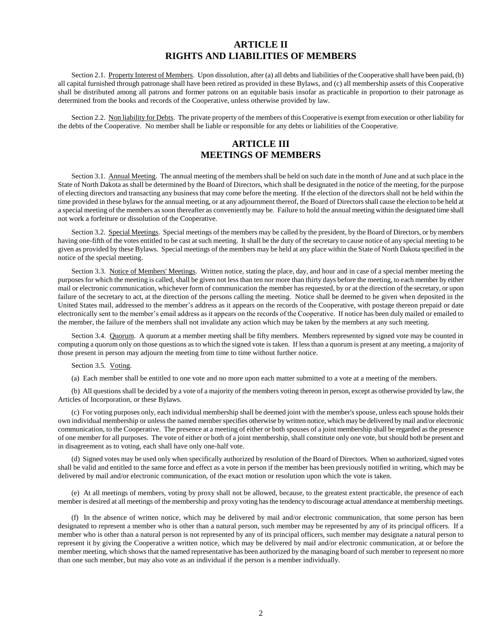### **ARTICLE II RIGHTS AND LIABILITIES OF MEMBERS**

Section 2.1. Property Interest of Members. Upon dissolution, after (a) all debts and liabilities of the Cooperative shall have been paid, (b) all capital furnished through patronage shall have been retired as provided in these Bylaws, and (c) all membership assets of this Cooperative shall be distributed among all patrons and former patrons on an equitable basis insofar as practicable in proportion to their patronage as determined from the books and records of the Cooperative, unless otherwise provided by law.

Section 2.2. Non liability for Debts. The private property of the members of this Cooperative is exempt from execution or other liability for the debts of the Cooperative. No member shall be liable or responsible for any debts or liabilities of the Cooperative.

# **ARTICLE III MEETINGS OF MEMBERS**

Section 3.1. Annual Meeting. The annual meeting of the members shall be held on such date in the month of June and at such place in the State of North Dakota as shall be determined by the Board of Directors, which shall be designated in the notice of the meeting, for the purpose of electing directors and transacting any business that may come before the meeting. If the election of the directors shall not be held within the time provided in these bylaws for the annual meeting, or at any adjournment thereof, the Board of Directors shall cause the election to be held at a special meeting of the members as soon thereafter as conveniently may be. Failure to hold the annual meeting within the designated time shall not work a forfeiture or dissolution of the Cooperative.

Section 3.2. Special Meetings. Special meetings of the members may be called by the president, by the Board of Directors, or by members having one-fifth of the votes entitled to be cast at such meeting. It shall be the duty of the secretary to cause notice of any special meeting to be given as provided by these Bylaws. Special meetings of the members may be held at any place within the State of North Dakota specified in the notice of the special meeting.

Section 3.3. Notice of Members' Meetings. Written notice, stating the place, day, and hour and in case of a special member meeting the purposes for which the meeting is called, shall be given not less than ten nor more than thirty days before the meeting, to each member by either mail or electronic communication, whichever form of communication the member has requested, by or at the direction of the secretary, or upon failure of the secretary to act, at the direction of the persons calling the meeting. Notice shall be deemed to be given when deposited in the United States mail, addressed to the member's address as it appears on the records of the Cooperative, with postage thereon prepaid or date electronically sent to the member's email address as it appears on the records of the Cooperative. If notice has been duly mailed or emailed to the member, the failure of the members shall not invalidate any action which may be taken by the members at any such meeting.

Section 3.4. Quorum. A quorum at a member meeting shall be fifty members. Members represented by signed vote may be counted in computing a quorum only on those questions as to which the signed vote is taken. If less than a quorum is present at any meeting, a majority of those present in person may adjourn the meeting from time to time without further notice.

Section 3.5. Voting.

(a) Each member shall be entitled to one vote and no more upon each matter submitted to a vote at a meeting of the members.

(b) All questions shall be decided by a vote of a majority of the members voting thereon in person, except as otherwise provided by law, the Articles of Incorporation, or these Bylaws.

(c) For voting purposes only, each individual membership shall be deemed joint with the member's spouse, unless each spouse holds their own individual membership or unless the named member specifies otherwise by written notice, which may be delivered by mail and/or electronic communication, to the Cooperative. The presence at a meeting of either or both spouses of a joint membership shall be regarded as the presence of one member for all purposes. The vote of either or both of a joint membership, shall constitute only one vote, but should both be present and in disagreement as to voting, each shall have only one-half vote.

(d) Signed votes may be used only when specifically authorized by resolution of the Board of Directors. When so authorized, signed votes shall be valid and entitled to the same force and effect as a vote in person if the member has been previously notified in writing, which may be delivered by mail and/or electronic communication, of the exact motion or resolution upon which the vote is taken.

(e) At all meetings of members, voting by proxy shall not be allowed, because, to the greatest extent practicable, the presence of each member is desired at all meetings of the membership and proxy voting has the tendency to discourage actual attendance at membership meetings.

(f) In the absence of written notice, which may be delivered by mail and/or electronic communication, that some person has been designated to represent a member who is other than a natural person, such member may be represented by any of its principal officers. If a member who is other than a natural person is not represented by any of its principal officers, such member may designate a natural person to represent it by giving the Cooperative a written notice, which may be delivered by mail and/or electronic communication, at or before the member meeting, which shows that the named representative has been authorized by the managing board of such member to represent no more than one such member, but may also vote as an individual if the person is a member individually.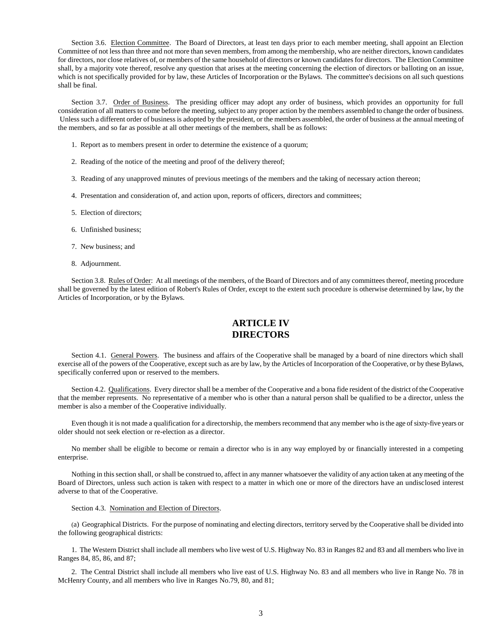Section 3.6. Election Committee. The Board of Directors, at least ten days prior to each member meeting, shall appoint an Election Committee of not less than three and not more than seven members, from among the membership, who are neither directors, known candidates for directors, nor close relatives of, or members of the same household of directors or known candidates for directors. The Election Committee shall, by a majority vote thereof, resolve any question that arises at the meeting concerning the election of directors or balloting on an issue, which is not specifically provided for by law, these Articles of Incorporation or the Bylaws. The committee's decisions on all such questions shall be final.

Section 3.7. Order of Business. The presiding officer may adopt any order of business, which provides an opportunity for full consideration of all matters to come before the meeting, subject to any proper action by the members assembled to change the order of business. Unless such a different order of business is adopted by the president, or the members assembled, the order of business at the annual meeting of the members, and so far as possible at all other meetings of the members, shall be as follows:

- 1. Report as to members present in order to determine the existence of a quorum;
- 2. Reading of the notice of the meeting and proof of the delivery thereof;
- 3. Reading of any unapproved minutes of previous meetings of the members and the taking of necessary action thereon;
- 4. Presentation and consideration of, and action upon, reports of officers, directors and committees;
- 5. Election of directors;
- 6. Unfinished business;
- 7. New business; and
- 8. Adjournment.

Section 3.8. Rules of Order: At all meetings of the members, of the Board of Directors and of any committees thereof, meeting procedure shall be governed by the latest edition of Robert's Rules of Order, except to the extent such procedure is otherwise determined by law, by the Articles of Incorporation, or by the Bylaws.

# **ARTICLE IV DIRECTORS**

Section 4.1. General Powers. The business and affairs of the Cooperative shall be managed by a board of nine directors which shall exercise all of the powers of the Cooperative, except such as are by law, by the Articles of Incorporation of the Cooperative, or by these Bylaws, specifically conferred upon or reserved to the members.

Section 4.2. Qualifications. Every director shall be a member of the Cooperative and a bona fide resident of the district of the Cooperative that the member represents. No representative of a member who is other than a natural person shall be qualified to be a director, unless the member is also a member of the Cooperative individually.

Even though it is not made a qualification for a directorship, the members recommend that any member who is the age of sixty-five years or older should not seek election or re-election as a director.

No member shall be eligible to become or remain a director who is in any way employed by or financially interested in a competing enterprise.

Nothing in this section shall, or shall be construed to, affect in any manner whatsoever the validity of any action taken at any meeting of the Board of Directors, unless such action is taken with respect to a matter in which one or more of the directors have an undisclosed interest adverse to that of the Cooperative.

#### Section 4.3. Nomination and Election of Directors.

(a) Geographical Districts. For the purpose of nominating and electing directors, territory served by the Cooperative shall be divided into the following geographical districts:

1. The Western District shall include all members who live west of U.S. Highway No. 83 in Ranges 82 and 83 and all members who live in Ranges 84, 85, 86, and 87;

2. The Central District shall include all members who live east of U.S. Highway No. 83 and all members who live in Range No. 78 in McHenry County, and all members who live in Ranges No.79, 80, and 81;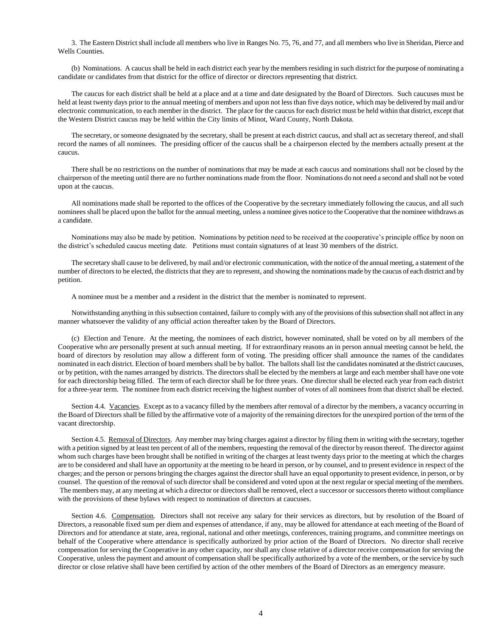3. The Eastern District shall include all members who live in Ranges No. 75, 76, and 77, and all members who live in Sheridan, Pierce and Wells Counties.

(b) Nominations. A caucus shall be held in each district each year by the members residing in such district for the purpose of nominating a candidate or candidates from that district for the office of director or directors representing that district.

The caucus for each district shall be held at a place and at a time and date designated by the Board of Directors. Such caucuses must be held at least twenty days prior to the annual meeting of members and upon not less than five days notice, which may be delivered by mail and/or electronic communication, to each member in the district. The place for the caucus for each district must be held within that district, except that the Western District caucus may be held within the City limits of Minot, Ward County, North Dakota.

The secretary, or someone designated by the secretary, shall be present at each district caucus, and shall act as secretary thereof, and shall record the names of all nominees. The presiding officer of the caucus shall be a chairperson elected by the members actually present at the caucus.

There shall be no restrictions on the number of nominations that may be made at each caucus and nominations shall not be closed by the chairperson of the meeting until there are no further nominations made from the floor. Nominations do not need a second and shall not be voted upon at the caucus.

All nominations made shall be reported to the offices of the Cooperative by the secretary immediately following the caucus, and all such nominees shall be placed upon the ballot for the annual meeting, unless a nominee gives notice to the Cooperative that the nominee withdraws as a candidate.

Nominations may also be made by petition. Nominations by petition need to be received at the cooperative's principle office by noon on the district's scheduled caucus meeting date. Petitions must contain signatures of at least 30 members of the district.

The secretary shall cause to be delivered, by mail and/or electronic communication, with the notice of the annual meeting, a statement of the number of directors to be elected, the districts that they are to represent, and showing the nominations made by the caucus of each district and by petition.

A nominee must be a member and a resident in the district that the member is nominated to represent.

Notwithstanding anything in this subsection contained, failure to comply with any of the provisions of this subsection shall not affect in any manner whatsoever the validity of any official action thereafter taken by the Board of Directors.

(c) Election and Tenure. At the meeting, the nominees of each district, however nominated, shall be voted on by all members of the Cooperative who are personally present at such annual meeting. If for extraordinary reasons an in person annual meeting cannot be held, the board of directors by resolution may allow a different form of voting. The presiding officer shall announce the names of the candidates nominated in each district. Election of board members shall be by ballot. The ballots shall list the candidates nominated at the district caucuses, or by petition, with the names arranged by districts. The directors shall be elected by the members at large and each member shall have one vote for each directorship being filled. The term of each director shall be for three years. One director shall be elected each year from each district for a three-year term. The nominee from each district receiving the highest number of votes of all nominees from that district shall be elected.

Section 4.4. Vacancies. Except as to a vacancy filled by the members after removal of a director by the members, a vacancy occurring in the Board of Directors shall be filled by the affirmative vote of a majority of the remaining directors for the unexpired portion of the term of the vacant directorship.

Section 4.5. Removal of Directors. Any member may bring charges against a director by filing them in writing with the secretary, together with a petition signed by at least ten percent of all of the members, requesting the removal of the director by reason thereof. The director against whom such charges have been brought shall be notified in writing of the charges at least twenty days prior to the meeting at which the charges are to be considered and shall have an opportunity at the meeting to be heard in person, or by counsel, and to present evidence in respect of the charges; and the person or persons bringing the charges against the director shall have an equal opportunity to present evidence, in person, or by counsel. The question of the removal of such director shall be considered and voted upon at the next regular or special meeting of the members. The members may, at any meeting at which a director or directors shall be removed, elect a successor or successors thereto without compliance with the provisions of these bylaws with respect to nomination of directors at caucuses.

Section 4.6. Compensation. Directors shall not receive any salary for their services as directors, but by resolution of the Board of Directors, a reasonable fixed sum per diem and expenses of attendance, if any, may be allowed for attendance at each meeting of the Board of Directors and for attendance at state, area, regional, national and other meetings, conferences, training programs, and committee meetings on behalf of the Cooperative where attendance is specifically authorized by prior action of the Board of Directors. No director shall receive compensation for serving the Cooperative in any other capacity, nor shall any close relative of a director receive compensation for serving the Cooperative, unless the payment and amount of compensation shall be specifically authorized by a vote of the members, or the service by such director or close relative shall have been certified by action of the other members of the Board of Directors as an emergency measure.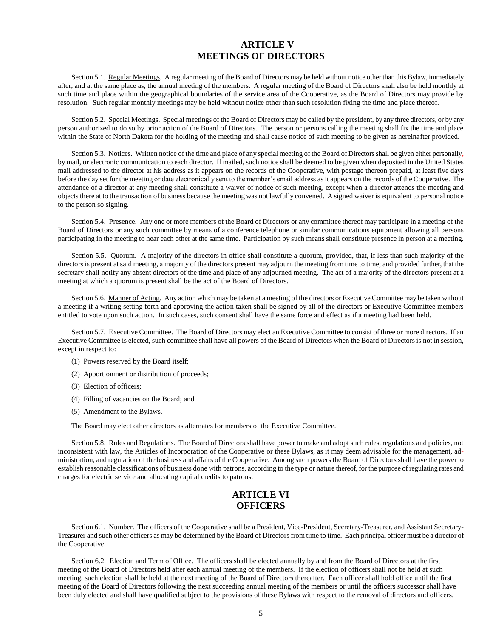### **ARTICLE V MEETINGS OF DIRECTORS**

Section 5.1. Regular Meetings. A regular meeting of the Board of Directors may be held without notice other than this Bylaw, immediately after, and at the same place as, the annual meeting of the members. A regular meeting of the Board of Directors shall also be held monthly at such time and place within the geographical boundaries of the service area of the Cooperative, as the Board of Directors may provide by resolution. Such regular monthly meetings may be held without notice other than such resolution fixing the time and place thereof.

Section 5.2. Special Meetings. Special meetings of the Board of Directors may be called by the president, by any three directors, or by any person authorized to do so by prior action of the Board of Directors. The person or persons calling the meeting shall fix the time and place within the State of North Dakota for the holding of the meeting and shall cause notice of such meeting to be given as hereinafter provided.

Section 5.3. Notices. Written notice of the time and place of any special meeting of the Board of Directors shall be given either personally, by mail, or electronic communication to each director. If mailed, such notice shall be deemed to be given when deposited in the United States mail addressed to the director at his address as it appears on the records of the Cooperative, with postage thereon prepaid, at least five days before the day set for the meeting or date electronically sent to the member's email address as it appears on the records of the Cooperative. The attendance of a director at any meeting shall constitute a waiver of notice of such meeting, except when a director attends the meeting and objects there at to the transaction of business because the meeting was not lawfully convened. A signed waiver is equivalent to personal notice to the person so signing.

Section 5.4. Presence. Any one or more members of the Board of Directors or any committee thereof may participate in a meeting of the Board of Directors or any such committee by means of a conference telephone or similar communications equipment allowing all persons participating in the meeting to hear each other at the same time. Participation by such means shall constitute presence in person at a meeting.

Section 5.5. Quorum. A majority of the directors in office shall constitute a quorum, provided, that, if less than such majority of the directors is present at said meeting, a majority of the directors present may adjourn the meeting from time to time; and provided further, that the secretary shall notify any absent directors of the time and place of any adjourned meeting. The act of a majority of the directors present at a meeting at which a quorum is present shall be the act of the Board of Directors.

Section 5.6. Manner of Acting. Any action which may be taken at a meeting of the directors or Executive Committee may be taken without a meeting if a writing setting forth and approving the action taken shall be signed by all of the directors or Executive Committee members entitled to vote upon such action. In such cases, such consent shall have the same force and effect as if a meeting had been held.

Section 5.7. Executive Committee. The Board of Directors may elect an Executive Committee to consist of three or more directors. If an Executive Committee is elected, such committee shall have all powers of the Board of Directors when the Board of Directors is not in session, except in respect to:

- (1) Powers reserved by the Board itself;
- (2) Apportionment or distribution of proceeds;
- (3) Election of officers;
- (4) Filling of vacancies on the Board; and
- (5) Amendment to the Bylaws.

The Board may elect other directors as alternates for members of the Executive Committee.

Section 5.8. Rules and Regulations. The Board of Directors shall have power to make and adopt such rules, regulations and policies, not inconsistent with law, the Articles of Incorporation of the Cooperative or these Bylaws, as it may deem advisable for the management, administration, and regulation of the business and affairs of the Cooperative. Among such powers the Board of Directors shall have the power to establish reasonable classifications of business done with patrons, according to the type or nature thereof, for the purpose of regulating rates and charges for electric service and allocating capital credits to patrons.

## **ARTICLE VI OFFICERS**

Section 6.1. Number. The officers of the Cooperative shall be a President, Vice-President, Secretary-Treasurer, and Assistant Secretary-Treasurer and such other officers as may be determined by the Board of Directors from time to time. Each principal officer must be a director of the Cooperative.

Section 6.2. Election and Term of Office. The officers shall be elected annually by and from the Board of Directors at the first meeting of the Board of Directors held after each annual meeting of the members. If the election of officers shall not be held at such meeting, such election shall be held at the next meeting of the Board of Directors thereafter. Each officer shall hold office until the first meeting of the Board of Directors following the next succeeding annual meeting of the members or until the officers successor shall have been duly elected and shall have qualified subject to the provisions of these Bylaws with respect to the removal of directors and officers.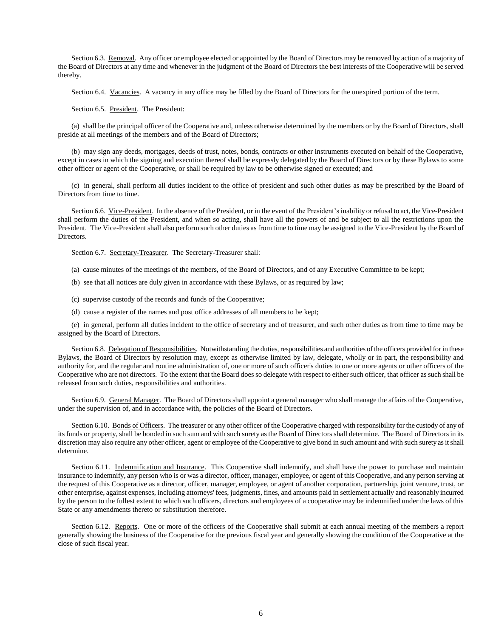Section 6.3. Removal. Any officer or employee elected or appointed by the Board of Directors may be removed by action of a majority of the Board of Directors at any time and whenever in the judgment of the Board of Directors the best interests of the Cooperative will be served thereby.

Section 6.4. Vacancies. A vacancy in any office may be filled by the Board of Directors for the unexpired portion of the term.

Section 6.5. President. The President:

(a) shall be the principal officer of the Cooperative and, unless otherwise determined by the members or by the Board of Directors, shall preside at all meetings of the members and of the Board of Directors;

(b) may sign any deeds, mortgages, deeds of trust, notes, bonds, contracts or other instruments executed on behalf of the Cooperative, except in cases in which the signing and execution thereof shall be expressly delegated by the Board of Directors or by these Bylaws to some other officer or agent of the Cooperative, or shall be required by law to be otherwise signed or executed; and

(c) in general, shall perform all duties incident to the office of president and such other duties as may be prescribed by the Board of Directors from time to time.

Section 6.6. Vice-President. In the absence of the President, or in the event of the President's inability or refusal to act, the Vice-President shall perform the duties of the President, and when so acting, shall have all the powers of and be subject to all the restrictions upon the President. The Vice-President shall also perform such other duties as from time to time may be assigned to the Vice-President by the Board of Directors.

Section 6.7. Secretary-Treasurer. The Secretary-Treasurer shall:

(a) cause minutes of the meetings of the members, of the Board of Directors, and of any Executive Committee to be kept;

- (b) see that all notices are duly given in accordance with these Bylaws, or as required by law;
- (c) supervise custody of the records and funds of the Cooperative;
- (d) cause a register of the names and post office addresses of all members to be kept;

(e) in general, perform all duties incident to the office of secretary and of treasurer, and such other duties as from time to time may be assigned by the Board of Directors.

Section 6.8. Delegation of Responsibilities. Notwithstanding the duties, responsibilities and authorities of the officers provided for in these Bylaws, the Board of Directors by resolution may, except as otherwise limited by law, delegate, wholly or in part, the responsibility and authority for, and the regular and routine administration of, one or more of such officer's duties to one or more agents or other officers of the Cooperative who are not directors. To the extent that the Board does so delegate with respect to either such officer, that officer as such shall be released from such duties, responsibilities and authorities.

Section 6.9. General Manager. The Board of Directors shall appoint a general manager who shall manage the affairs of the Cooperative, under the supervision of, and in accordance with, the policies of the Board of Directors.

Section 6.10. Bonds of Officers. The treasurer or any other officer of the Cooperative charged with responsibility for the custody of any of its funds or property, shall be bonded in such sum and with such surety as the Board of Directors shall determine. The Board of Directors in its discretion may also require any other officer, agent or employee of the Cooperative to give bond in such amount and with such surety as it shall determine.

Section 6.11. Indemnification and Insurance. This Cooperative shall indemnify, and shall have the power to purchase and maintain insurance to indemnify, any person who is or was a director, officer, manager, employee, or agent of this Cooperative, and any person serving at the request of this Cooperative as a director, officer, manager, employee, or agent of another corporation, partnership, joint venture, trust, or other enterprise, against expenses, including attorneys' fees, judgments, fines, and amounts paid in settlement actually and reasonably incurred by the person to the fullest extent to which such officers, directors and employees of a cooperative may be indemnified under the laws of this State or any amendments thereto or substitution therefore.

Section 6.12. Reports. One or more of the officers of the Cooperative shall submit at each annual meeting of the members a report generally showing the business of the Cooperative for the previous fiscal year and generally showing the condition of the Cooperative at the close of such fiscal year.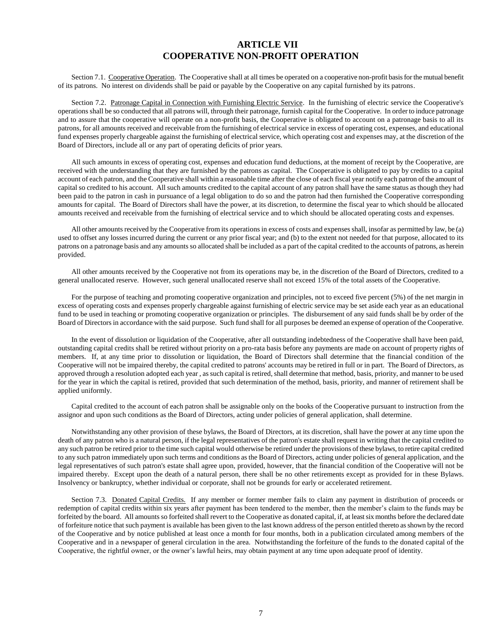### **ARTICLE VII COOPERATIVE NON-PROFIT OPERATION**

Section 7.1. Cooperative Operation. The Cooperative shall at all times be operated on a cooperative non-profit basis for the mutual benefit of its patrons. No interest on dividends shall be paid or payable by the Cooperative on any capital furnished by its patrons.

Section 7.2. Patronage Capital in Connection with Furnishing Electric Service. In the furnishing of electric service the Cooperative's operations shall be so conducted that all patrons will, through their patronage, furnish capital for the Cooperative. In order to induce patronage and to assure that the cooperative will operate on a non-profit basis, the Cooperative is obligated to account on a patronage basis to all its patrons, for all amounts received and receivable from the furnishing of electrical service in excess of operating cost, expenses, and educational fund expenses properly chargeable against the furnishing of electrical service, which operating cost and expenses may, at the discretion of the Board of Directors, include all or any part of operating deficits of prior years.

All such amounts in excess of operating cost, expenses and education fund deductions, at the moment of receipt by the Cooperative, are received with the understanding that they are furnished by the patrons as capital. The Cooperative is obligated to pay by credits to a capital account of each patron, and the Cooperative shall within a reasonable time after the close of each fiscal year notify each patron of the amount of capital so credited to his account. All such amounts credited to the capital account of any patron shall have the same status as though they had been paid to the patron in cash in pursuance of a legal obligation to do so and the patron had then furnished the Cooperative corresponding amounts for capital. The Board of Directors shall have the power, at its discretion, to determine the fiscal year to which should be allocated amounts received and receivable from the furnishing of electrical service and to which should be allocated operating costs and expenses.

All other amounts received by the Cooperative from its operations in excess of costs and expenses shall, insofar as permitted by law, be (a) used to offset any losses incurred during the current or any prior fiscal year; and (b) to the extent not needed for that purpose, allocated to its patrons on a patronage basis and any amounts so allocated shall be included as a part of the capital credited to the accounts of patrons, as herein provided.

All other amounts received by the Cooperative not from its operations may be, in the discretion of the Board of Directors, credited to a general unallocated reserve. However, such general unallocated reserve shall not exceed 15% of the total assets of the Cooperative.

For the purpose of teaching and promoting cooperative organization and principles, not to exceed five percent (5%) of the net margin in excess of operating costs and expenses properly chargeable against furnishing of electric service may be set aside each year as an educational fund to be used in teaching or promoting cooperative organization or principles. The disbursement of any said funds shall be by order of the Board of Directors in accordance with the said purpose. Such fund shall for all purposes be deemed an expense of operation of the Cooperative.

In the event of dissolution or liquidation of the Cooperative, after all outstanding indebtedness of the Cooperative shall have been paid, outstanding capital credits shall be retired without priority on a pro-rata basis before any payments are made on account of property rights of members. If, at any time prior to dissolution or liquidation, the Board of Directors shall determine that the financial condition of the Cooperative will not be impaired thereby, the capital credited to patrons' accounts may be retired in full or in part. The Board of Directors, as approved through a resolution adopted each year , as such capital is retired, shall determine that method, basis, priority, and manner to be used for the year in which the capital is retired, provided that such determination of the method, basis, priority, and manner of retirement shall be applied uniformly.

Capital credited to the account of each patron shall be assignable only on the books of the Cooperative pursuant to instruction from the assignor and upon such conditions as the Board of Directors, acting under policies of general application, shall determine.

Notwithstanding any other provision of these bylaws, the Board of Directors, at its discretion, shall have the power at any time upon the death of any patron who is a natural person, if the legal representatives of the patron's estate shall request in writing that the capital credited to any such patron be retired prior to the time such capital would otherwise be retired under the provisions of these bylaws, to retire capital credited to any such patron immediately upon such terms and conditions as the Board of Directors, acting under policies of general application, and the legal representatives of such patron's estate shall agree upon, provided, however, that the financial condition of the Cooperative will not be impaired thereby. Except upon the death of a natural person, there shall be no other retirements except as provided for in these Bylaws. Insolvency or bankruptcy, whether individual or corporate, shall not be grounds for early or accelerated retirement.

Section 7.3. Donated Capital Credits. If any member or former member fails to claim any payment in distribution of proceeds or redemption of capital credits within six years after payment has been tendered to the member, then the member's claim to the funds may be forfeited by the board. All amounts so forfeited shall revert to the Cooperative as donated capital, if, at least six months before the declared date of forfeiture notice that such payment is available has been given to the last known address of the person entitled thereto as shown by the record of the Cooperative and by notice published at least once a month for four months, both in a publication circulated among members of the Cooperative and in a newspaper of general circulation in the area. Notwithstanding the forfeiture of the funds to the donated capital of the Cooperative, the rightful owner, or the owner's lawful heirs, may obtain payment at any time upon adequate proof of identity.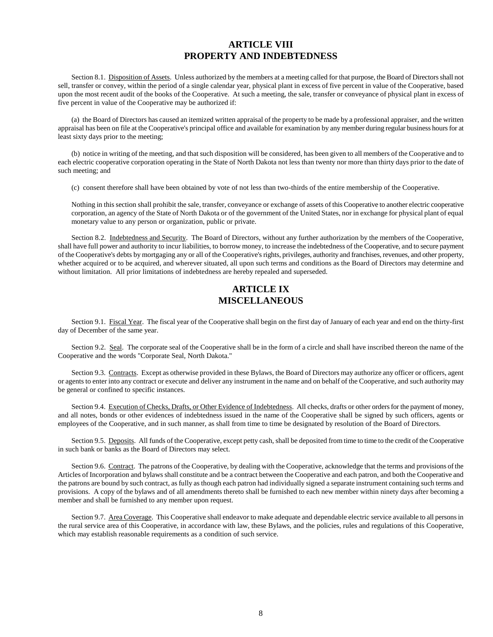## **ARTICLE VIII PROPERTY AND INDEBTEDNESS**

Section 8.1. Disposition of Assets. Unless authorized by the members at a meeting called for that purpose, the Board of Directors shall not sell, transfer or convey, within the period of a single calendar year, physical plant in excess of five percent in value of the Cooperative, based upon the most recent audit of the books of the Cooperative. At such a meeting, the sale, transfer or conveyance of physical plant in excess of five percent in value of the Cooperative may be authorized if:

(a) the Board of Directors has caused an itemized written appraisal of the property to be made by a professional appraiser, and the written appraisal has been on file at the Cooperative's principal office and available for examination by any member during regular business hours for at least sixty days prior to the meeting;

(b) notice in writing of the meeting, and that such disposition will be considered, has been given to all members of the Cooperative and to each electric cooperative corporation operating in the State of North Dakota not less than twenty nor more than thirty days prior to the date of such meeting; and

(c) consent therefore shall have been obtained by vote of not less than two-thirds of the entire membership of the Cooperative.

Nothing in this section shall prohibit the sale, transfer, conveyance or exchange of assets of this Cooperative to another electric cooperative corporation, an agency of the State of North Dakota or of the government of the United States, nor in exchange for physical plant of equal monetary value to any person or organization, public or private.

Section 8.2. Indebtedness and Security. The Board of Directors, without any further authorization by the members of the Cooperative, shall have full power and authority to incur liabilities, to borrow money, to increase the indebtedness of the Cooperative, and to secure payment of the Cooperative's debts by mortgaging any or all of the Cooperative's rights, privileges, authority and franchises, revenues, and other property, whether acquired or to be acquired, and wherever situated, all upon such terms and conditions as the Board of Directors may determine and without limitation. All prior limitations of indebtedness are hereby repealed and superseded.

## **ARTICLE IX MISCELLANEOUS**

Section 9.1. Fiscal Year. The fiscal year of the Cooperative shall begin on the first day of January of each year and end on the thirty-first day of December of the same year.

Section 9.2. Seal. The corporate seal of the Cooperative shall be in the form of a circle and shall have inscribed thereon the name of the Cooperative and the words "Corporate Seal, North Dakota."

Section 9.3. Contracts. Except as otherwise provided in these Bylaws, the Board of Directors may authorize any officer or officers, agent or agents to enter into any contract or execute and deliver any instrument in the name and on behalf of the Cooperative, and such authority may be general or confined to specific instances.

Section 9.4. Execution of Checks, Drafts, or Other Evidence of Indebtedness. All checks, drafts or other orders for the payment of money, and all notes, bonds or other evidences of indebtedness issued in the name of the Cooperative shall be signed by such officers, agents or employees of the Cooperative, and in such manner, as shall from time to time be designated by resolution of the Board of Directors.

Section 9.5. Deposits. All funds of the Cooperative, except petty cash, shall be deposited from time to time to the credit of the Cooperative in such bank or banks as the Board of Directors may select.

Section 9.6. Contract. The patrons of the Cooperative, by dealing with the Cooperative, acknowledge that the terms and provisions of the Articles of Incorporation and bylaws shall constitute and be a contract between the Cooperative and each patron, and both the Cooperative and the patrons are bound by such contract, as fully as though each patron had individually signed a separate instrument containing such terms and provisions. A copy of the bylaws and of all amendments thereto shall be furnished to each new member within ninety days after becoming a member and shall be furnished to any member upon request.

Section 9.7. Area Coverage. This Cooperative shall endeavor to make adequate and dependable electric service available to all persons in the rural service area of this Cooperative, in accordance with law, these Bylaws, and the policies, rules and regulations of this Cooperative, which may establish reasonable requirements as a condition of such service.